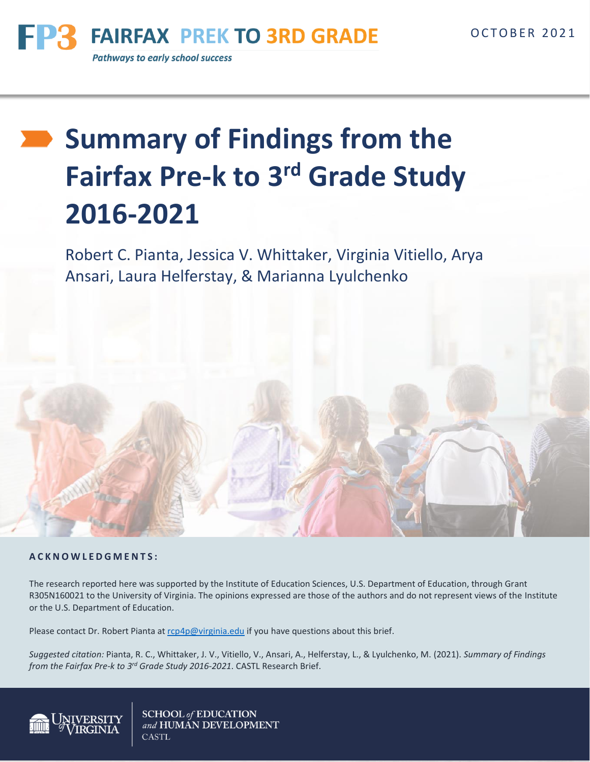

# **Summary of Findings from the Fairfax Pre-k to 3<sup>rd</sup> Grade Study 2016-2021**

Robert C. Pianta, Jessica V. Whittaker, Virginia Vitiello, Arya Ansari, Laura Helferstay, & Marianna Lyulchenko



**A C K N O W L E D G M E N T S :**

The research reported here was supported by the Institute of Education Sciences, U.S. Department of Education, through Grant R305N160021 to the University of Virginia. The opinions expressed are those of the authors and do not represent views of the Institute or the U.S. Department of Education.

Please contact Dr. Robert Pianta at [rcp4p@virginia.edu](mailto:rcp4p@virginia.edu) if you have questions about this brief.

*Suggested citation:* Pianta, R. C., Whittaker, J. V., Vitiello, V., Ansari, A., Helferstay, L., & Lyulchenko, M. (2021). *Summary of Findings from the Fairfax Pre-k to 3rd Grade Study 2016-2021*. CASTL Research Brief.



**SCHOOL** of **EDUCATION** and HUMAN DEVELOPMENT **CASTL**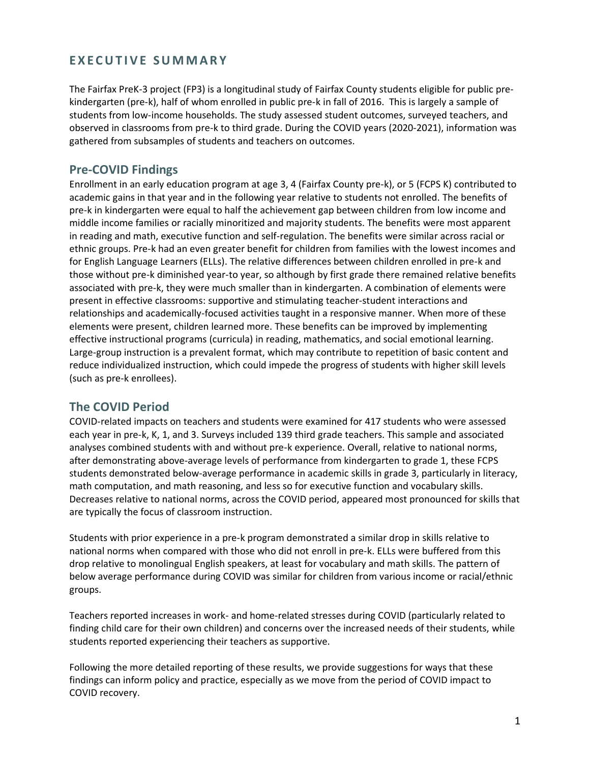# **EX E C U T I V E SU M M A R Y**

The Fairfax PreK*-*3 project (FP3) is a longitudinal study of Fairfax County students eligible for public prekindergarten (pre-k), half of whom enrolled in public pre-k in fall of 2016. This is largely a sample of students from low-income households. The study assessed student outcomes, surveyed teachers, and observed in classrooms from pre-k to third grade. During the COVID years (2020-2021), information was gathered from subsamples of students and teachers on outcomes.

# **Pre-COVID Findings**

Enrollment in an early education program at age 3, 4 (Fairfax County pre-k), or 5 (FCPS K) contributed to academic gains in that year and in the following year relative to students not enrolled. The benefits of pre-k in kindergarten were equal to half the achievement gap between children from low income and middle income families or racially minoritized and majority students. The benefits were most apparent in reading and math, executive function and self-regulation. The benefits were similar across racial or ethnic groups. Pre-k had an even greater benefit for children from families with the lowest incomes and for English Language Learners (ELLs). The relative differences between children enrolled in pre-k and those without pre-k diminished year-to year, so although by first grade there remained relative benefits associated with pre-k, they were much smaller than in kindergarten. A combination of elements were present in effective classrooms: supportive and stimulating teacher-student interactions and relationships and academically-focused activities taught in a responsive manner. When more of these elements were present, children learned more. These benefits can be improved by implementing effective instructional programs (curricula) in reading, mathematics, and social emotional learning. Large-group instruction is a prevalent format, which may contribute to repetition of basic content and reduce individualized instruction, which could impede the progress of students with higher skill levels (such as pre-k enrollees).

# **The COVID Period**

COVID-related impacts on teachers and students were examined for 417 students who were assessed each year in pre-k, K, 1, and 3. Surveys included 139 third grade teachers. This sample and associated analyses combined students with and without pre-k experience. Overall, relative to national norms, after demonstrating above-average levels of performance from kindergarten to grade 1, these FCPS students demonstrated below-average performance in academic skills in grade 3, particularly in literacy, math computation, and math reasoning, and less so for executive function and vocabulary skills. Decreases relative to national norms, across the COVID period, appeared most pronounced for skills that are typically the focus of classroom instruction.

Students with prior experience in a pre-k program demonstrated a similar drop in skills relative to national norms when compared with those who did not enroll in pre-k. ELLs were buffered from this drop relative to monolingual English speakers, at least for vocabulary and math skills. The pattern of below average performance during COVID was similar for children from various income or racial/ethnic groups.

Teachers reported increases in work- and home-related stresses during COVID (particularly related to finding child care for their own children) and concerns over the increased needs of their students, while students reported experiencing their teachers as supportive.

Following the more detailed reporting of these results, we provide suggestions for ways that these findings can inform policy and practice, especially as we move from the period of COVID impact to COVID recovery.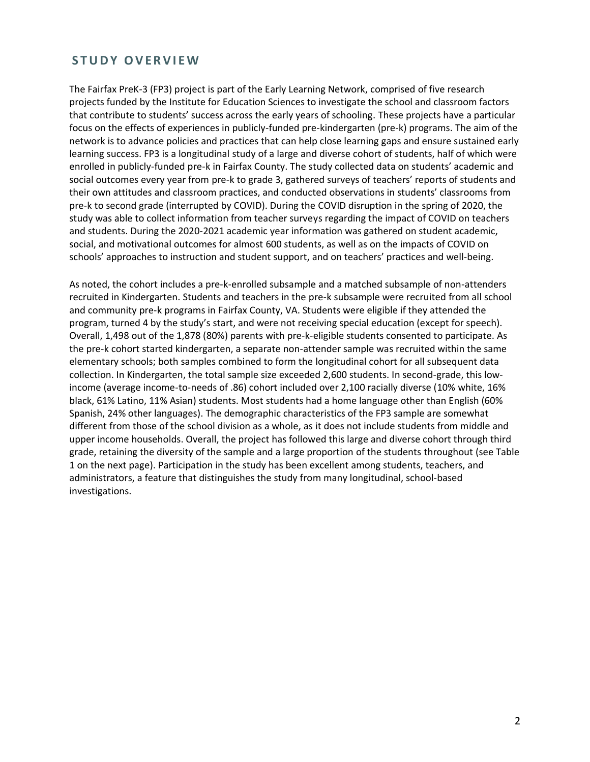# **S T U D Y O V E R V I E W**

The Fairfax PreK*-*3 (FP3) project is part of the Early Learning Network, comprised of five research projects funded by the Institute for Education Sciences to investigate the school and classroom factors that contribute to students' success across the early years of schooling. These projects have a particular focus on the effects of experiences in publicly-funded pre-kindergarten (pre-k) programs. The aim of the network is to advance policies and practices that can help close learning gaps and ensure sustained early learning success. FP3 is a longitudinal study of a large and diverse cohort of students, half of which were enrolled in publicly-funded pre-k in Fairfax County. The study collected data on students' academic and social outcomes every year from pre-k to grade 3, gathered surveys of teachers' reports of students and their own attitudes and classroom practices, and conducted observations in students' classrooms from pre-k to second grade (interrupted by COVID). During the COVID disruption in the spring of 2020, the study was able to collect information from teacher surveys regarding the impact of COVID on teachers and students. During the 2020-2021 academic year information was gathered on student academic, social, and motivational outcomes for almost 600 students, as well as on the impacts of COVID on schools' approaches to instruction and student support, and on teachers' practices and well-being.

As noted, the cohort includes a pre-k-enrolled subsample and a matched subsample of non-attenders recruited in Kindergarten. Students and teachers in the pre-k subsample were recruited from all school and community pre-k programs in Fairfax County, VA. Students were eligible if they attended the program, turned 4 by the study's start, and were not receiving special education (except for speech). Overall, 1,498 out of the 1,878 (80%) parents with pre-k-eligible students consented to participate. As the pre-k cohort started kindergarten, a separate non-attender sample was recruited within the same elementary schools; both samples combined to form the longitudinal cohort for all subsequent data collection. In Kindergarten, the total sample size exceeded 2,600 students. In second-grade, this lowincome (average income-to-needs of .86) cohort included over 2,100 racially diverse (10% white, 16% black, 61% Latino, 11% Asian) students. Most students had a home language other than English (60% Spanish, 24% other languages). The demographic characteristics of the FP3 sample are somewhat different from those of the school division as a whole, as it does not include students from middle and upper income households. Overall, the project has followed this large and diverse cohort through third grade, retaining the diversity of the sample and a large proportion of the students throughout (see Table 1 on the next page). Participation in the study has been excellent among students, teachers, and administrators, a feature that distinguishes the study from many longitudinal, school-based investigations.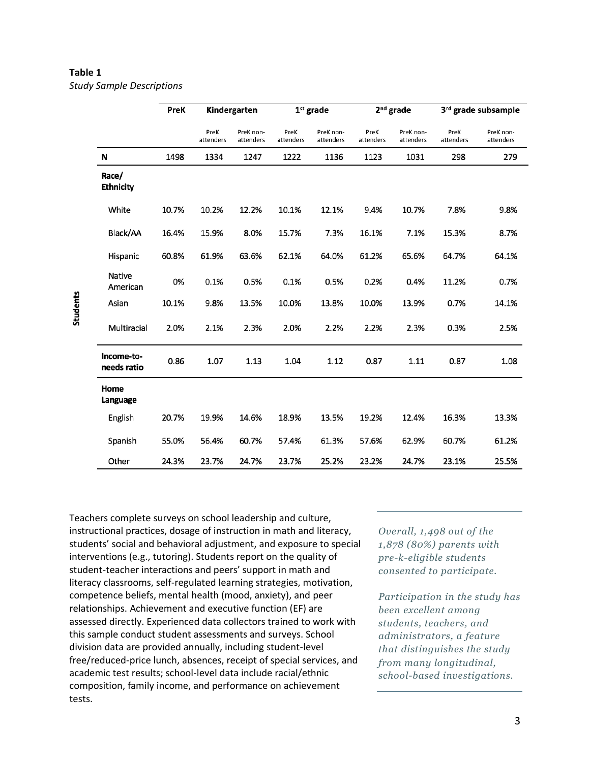|                           | PreK  | Kindergarten      |                        | $1st$ grade       |                        | $2nd$ grade       |                        | 3rd grade subsample |                        |
|---------------------------|-------|-------------------|------------------------|-------------------|------------------------|-------------------|------------------------|---------------------|------------------------|
|                           |       | PreK<br>attenders | PreK non-<br>attenders | PreK<br>attenders | PreK non-<br>attenders | PreK<br>attenders | PreK non-<br>attenders | PreK<br>attenders   | PreK non-<br>attenders |
| N                         | 1498  | 1334              | 1247                   | 1222              | 1136                   | 1123              | 1031                   | 298                 | 279                    |
| Race/<br><b>Ethnicity</b> |       |                   |                        |                   |                        |                   |                        |                     |                        |
| White                     | 10.7% | 10.2%             | 12.2%                  | 10.1%             | 12.1%                  | 9.4%              | 10.7%                  | 7.8%                | 9.8%                   |
| Black/AA                  | 16.4% | 15.9%             | 8.0%                   | 15.7%             | 7.3%                   | 16.1%             | 7.1%                   | 15.3%               | 8.7%                   |
| Hispanic                  | 60.8% | 61.9%             | 63.6%                  | 62.1%             | 64.0%                  | 61.2%             | 65.6%                  | 64.7%               | 64.1%                  |
| <b>Native</b><br>American | 0%    | 0.1%              | 0.5%                   | 0.1%              | 0.5%                   | 0.2%              | 0.4%                   | 11.2%               | 0.7%                   |
| Asian                     | 10.1% | 9.8%              | 13.5%                  | 10.0%             | 13.8%                  | 10.0%             | 13.9%                  | 0.7%                | 14.1%                  |
| Multiracial               | 2.0%  | 2.1%              | 2.3%                   | 2.0%              | 2.2%                   | 2.2%              | 2.3%                   | 0.3%                | 2.5%                   |
| Income-to-<br>needs ratio | 0.86  | 1.07              | 1.13                   | 1.04              | 1.12                   | 0.87              | 1.11                   | 0.87                | 1.08                   |
| Home<br>Language          |       |                   |                        |                   |                        |                   |                        |                     |                        |
| English                   | 20.7% | 19.9%             | 14.6%                  | 18.9%             | 13.5%                  | 19.2%             | 12.4%                  | 16.3%               | 13.3%                  |
| Spanish                   | 55.0% | 56.4%             | 60.7%                  | 57.4%             | 61.3%                  | 57.6%             | 62.9%                  | 60.7%               | 61.2%                  |
| Other                     | 24.3% | 23.7%             | 24.7%                  | 23.7%             | 25.2%                  | 23.2%             | 24.7%                  | 23.1%               | 25.5%                  |

# **Table 1** *Study Sample Descriptions*

**Students** 

Teachers complete surveys on school leadership and culture, instructional practices, dosage of instruction in math and literacy, students' social and behavioral adjustment, and exposure to special interventions (e.g., tutoring). Students report on the quality of student-teacher interactions and peers' support in math and literacy classrooms, self-regulated learning strategies, motivation, competence beliefs, mental health (mood, anxiety), and peer relationships. Achievement and executive function (EF) are assessed directly. Experienced data collectors trained to work with this sample conduct student assessments and surveys. School division data are provided annually, including student-level free/reduced-price lunch, absences, receipt of special services, and academic test results; school-level data include racial/ethnic composition, family income, and performance on achievement tests.

*Overall, 1,498 out of the 1,878 (80%) parents with pre-k-eligible students consented to participate.*

*Participation in the study has been excellent among students, teachers, and administrators, a feature that distinguishes the study from many longitudinal, school-based investigations.*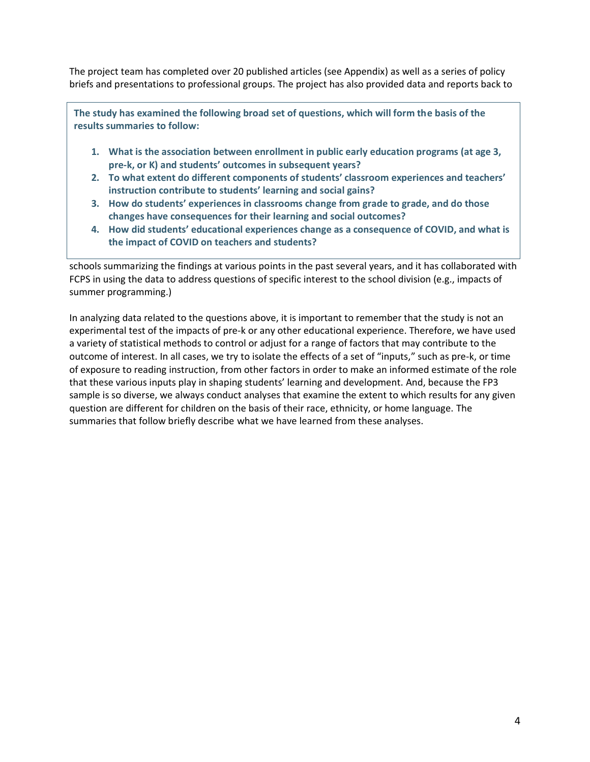The project team has completed over 20 published articles (see Appendix) as well as a series of policy briefs and presentations to professional groups. The project has also provided data and reports back to

**The study has examined the following broad set of questions, which will form the basis of the results summaries to follow:**

- **1. What is the association between enrollment in public early education programs (at age 3, pre-k, or K) and students' outcomes in subsequent years?**
- **2. To what extent do different components of students' classroom experiences and teachers' instruction contribute to students' learning and social gains?**
- **3. How do students' experiences in classrooms change from grade to grade, and do those changes have consequences for their learning and social outcomes?**
- **4. How did students' educational experiences change as a consequence of COVID, and what is the impact of COVID on teachers and students?**

schools summarizing the findings at various points in the past several years, and it has collaborated with FCPS in using the data to address questions of specific interest to the school division (e.g., impacts of summer programming.)

In analyzing data related to the questions above, it is important to remember that the study is not an experimental test of the impacts of pre-k or any other educational experience. Therefore, we have used a variety of statistical methods to control or adjust for a range of factors that may contribute to the outcome of interest. In all cases, we try to isolate the effects of a set of "inputs," such as pre-k, or time of exposure to reading instruction, from other factors in order to make an informed estimate of the role that these various inputs play in shaping students' learning and development. And, because the FP3 sample is so diverse, we always conduct analyses that examine the extent to which results for any given question are different for children on the basis of their race, ethnicity, or home language. The summaries that follow briefly describe what we have learned from these analyses.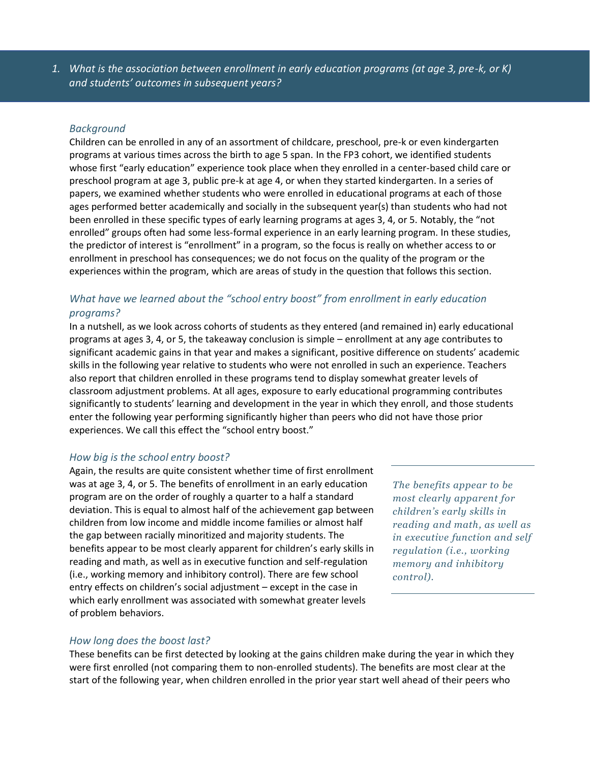*1. What is the association between enrollment in early education programs (at age 3, pre-k, or K) and students' outcomes in subsequent years?*

#### *Background*

Children can be enrolled in any of an assortment of childcare, preschool, pre-k or even kindergarten programs at various times across the birth to age 5 span. In the FP3 cohort, we identified students whose first "early education" experience took place when they enrolled in a center-based child care or preschool program at age 3, public pre-k at age 4, or when they started kindergarten. In a series of papers, we examined whether students who were enrolled in educational programs at each of those ages performed better academically and socially in the subsequent year(s) than students who had not been enrolled in these specific types of early learning programs at ages 3, 4, or 5. Notably, the "not enrolled" groups often had some less-formal experience in an early learning program. In these studies, the predictor of interest is "enrollment" in a program, so the focus is really on whether access to or enrollment in preschool has consequences; we do not focus on the quality of the program or the experiences within the program, which are areas of study in the question that follows this section.

# *What have we learned about the "school entry boost" from enrollment in early education programs?*

In a nutshell, as we look across cohorts of students as they entered (and remained in) early educational programs at ages 3, 4, or 5, the takeaway conclusion is simple – enrollment at any age contributes to significant academic gains in that year and makes a significant, positive difference on students' academic skills in the following year relative to students who were not enrolled in such an experience. Teachers also report that children enrolled in these programs tend to display somewhat greater levels of classroom adjustment problems. At all ages, exposure to early educational programming contributes significantly to students' learning and development in the year in which they enroll, and those students enter the following year performing significantly higher than peers who did not have those prior experiences. We call this effect the "school entry boost."

#### *How big is the school entry boost?*

Again, the results are quite consistent whether time of first enrollment was at age 3, 4, or 5. The benefits of enrollment in an early education program are on the order of roughly a quarter to a half a standard deviation. This is equal to almost half of the achievement gap between children from low income and middle income families or almost half the gap between racially minoritized and majority students. The benefits appear to be most clearly apparent for children's early skills in reading and math, as well as in executive function and self-regulation (i.e., working memory and inhibitory control). There are few school entry effects on children's social adjustment – except in the case in which early enrollment was associated with somewhat greater levels of problem behaviors.

*The benefits appear to be most clearly apparent for children's early skills in reading and math, as well as in executive function and self regulation (i.e., working memory and inhibitory control).*

#### *How long does the boost last?*

These benefits can be first detected by looking at the gains children make during the year in which they were first enrolled (not comparing them to non-enrolled students). The benefits are most clear at the start of the following year, when children enrolled in the prior year start well ahead of their peers who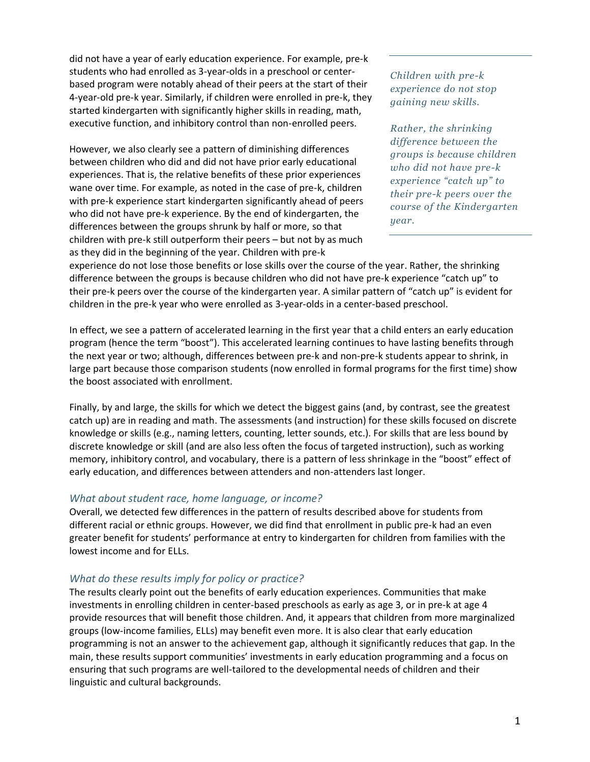did not have a year of early education experience. For example, pre-k students who had enrolled as 3-year-olds in a preschool or centerbased program were notably ahead of their peers at the start of their 4-year-old pre-k year. Similarly, if children were enrolled in pre-k, they started kindergarten with significantly higher skills in reading, math, executive function, and inhibitory control than non-enrolled peers.

However, we also clearly see a pattern of diminishing differences between children who did and did not have prior early educational experiences. That is, the relative benefits of these prior experiences wane over time. For example, as noted in the case of pre-k, children with pre-k experience start kindergarten significantly ahead of peers who did not have pre-k experience. By the end of kindergarten, the differences between the groups shrunk by half or more, so that children with pre-k still outperform their peers – but not by as much as they did in the beginning of the year. Children with pre-k

*Children with pre-k experience do not stop gaining new skills.* 

*Rather, the shrinking difference between the groups is because children who did not have pre-k experience "catch up" to their pre-k peers over the course of the Kindergarten year.*

experience do not lose those benefits or lose skills over the course of the year. Rather, the shrinking difference between the groups is because children who did not have pre-k experience "catch up" to their pre-k peers over the course of the kindergarten year. A similar pattern of "catch up" is evident for children in the pre-k year who were enrolled as 3-year-olds in a center-based preschool.

In effect, we see a pattern of accelerated learning in the first year that a child enters an early education program (hence the term "boost"). This accelerated learning continues to have lasting benefits through the next year or two; although, differences between pre-k and non-pre-k students appear to shrink, in large part because those comparison students (now enrolled in formal programs for the first time) show the boost associated with enrollment.

Finally, by and large, the skills for which we detect the biggest gains (and, by contrast, see the greatest catch up) are in reading and math. The assessments (and instruction) for these skills focused on discrete knowledge or skills (e.g., naming letters, counting, letter sounds, etc.). For skills that are less bound by discrete knowledge or skill (and are also less often the focus of targeted instruction), such as working memory, inhibitory control, and vocabulary, there is a pattern of less shrinkage in the "boost" effect of early education, and differences between attenders and non-attenders last longer.

#### *What about student race, home language, or income?*

Overall, we detected few differences in the pattern of results described above for students from different racial or ethnic groups. However, we did find that enrollment in public pre-k had an even greater benefit for students' performance at entry to kindergarten for children from families with the lowest income and for ELLs.

#### *What do these results imply for policy or practice?*

The results clearly point out the benefits of early education experiences. Communities that make investments in enrolling children in center-based preschools as early as age 3, or in pre-k at age 4 provide resources that will benefit those children. And, it appears that children from more marginalized groups (low-income families, ELLs) may benefit even more. It is also clear that early education programming is not an answer to the achievement gap, although it significantly reduces that gap. In the main, these results support communities' investments in early education programming and a focus on ensuring that such programs are well-tailored to the developmental needs of children and their linguistic and cultural backgrounds.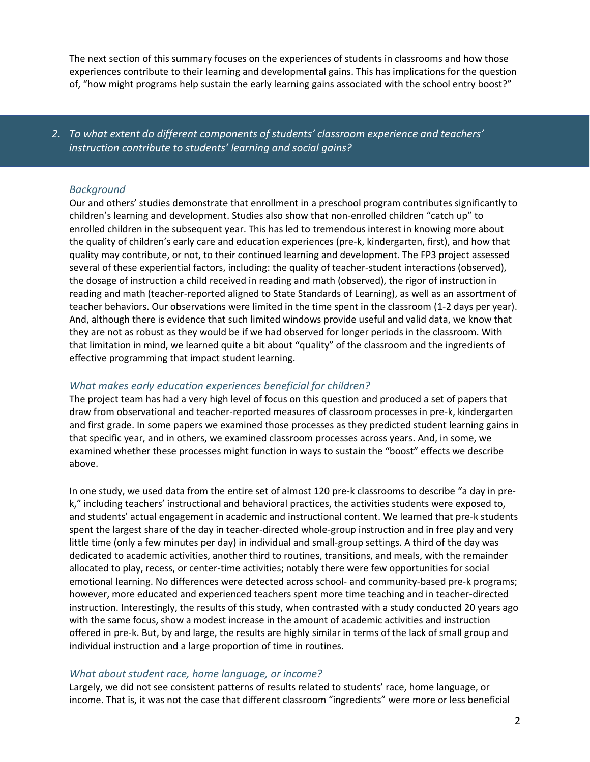The next section of this summary focuses on the experiences of students in classrooms and how those experiences contribute to their learning and developmental gains. This has implications for the question of, "how might programs help sustain the early learning gains associated with the school entry boost?"

*2. To what extent do different components of students' classroom experience and teachers' instruction contribute to students' learning and social gains?*

#### *Background*

Our and others' studies demonstrate that enrollment in a preschool program contributes significantly to children's learning and development. Studies also show that non-enrolled children "catch up" to enrolled children in the subsequent year. This has led to tremendous interest in knowing more about the quality of children's early care and education experiences (pre-k, kindergarten, first), and how that quality may contribute, or not, to their continued learning and development. The FP3 project assessed several of these experiential factors, including: the quality of teacher-student interactions (observed), the dosage of instruction a child received in reading and math (observed), the rigor of instruction in reading and math (teacher-reported aligned to State Standards of Learning), as well as an assortment of teacher behaviors. Our observations were limited in the time spent in the classroom (1-2 days per year). And, although there is evidence that such limited windows provide useful and valid data, we know that they are not as robust as they would be if we had observed for longer periods in the classroom. With that limitation in mind, we learned quite a bit about "quality" of the classroom and the ingredients of effective programming that impact student learning.

#### *What makes early education experiences beneficial for children?*

The project team has had a very high level of focus on this question and produced a set of papers that draw from observational and teacher-reported measures of classroom processes in pre-k, kindergarten and first grade. In some papers we examined those processes as they predicted student learning gains in that specific year, and in others, we examined classroom processes across years. And, in some, we examined whether these processes might function in ways to sustain the "boost" effects we describe above.

In one study, we used data from the entire set of almost 120 pre-k classrooms to describe "a day in prek," including teachers' instructional and behavioral practices, the activities students were exposed to, and students' actual engagement in academic and instructional content. We learned that pre-k students spent the largest share of the day in teacher-directed whole-group instruction and in free play and very little time (only a few minutes per day) in individual and small-group settings. A third of the day was dedicated to academic activities, another third to routines, transitions, and meals, with the remainder allocated to play, recess, or center-time activities; notably there were few opportunities for social emotional learning. No differences were detected across school- and community-based pre-k programs; however, more educated and experienced teachers spent more time teaching and in teacher-directed instruction. Interestingly, the results of this study, when contrasted with a study conducted 20 years ago with the same focus, show a modest increase in the amount of academic activities and instruction offered in pre-k. But, by and large, the results are highly similar in terms of the lack of small group and individual instruction and a large proportion of time in routines.

#### *What about student race, home language, or income?*

Largely, we did not see consistent patterns of results related to students' race, home language, or income. That is, it was not the case that different classroom "ingredients" were more or less beneficial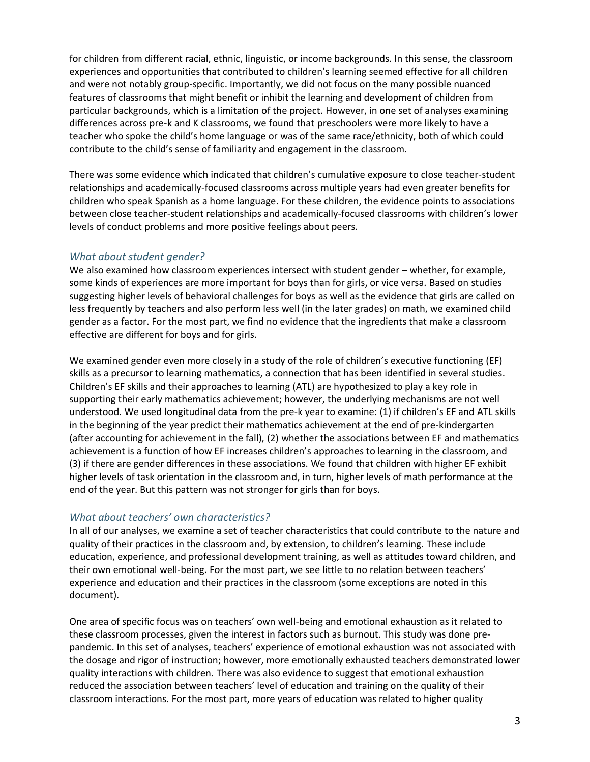for children from different racial, ethnic, linguistic, or income backgrounds. In this sense, the classroom experiences and opportunities that contributed to children's learning seemed effective for all children and were not notably group-specific. Importantly, we did not focus on the many possible nuanced features of classrooms that might benefit or inhibit the learning and development of children from particular backgrounds, which is a limitation of the project. However, in one set of analyses examining differences across pre-k and K classrooms, we found that preschoolers were more likely to have a teacher who spoke the child's home language or was of the same race/ethnicity, both of which could contribute to the child's sense of familiarity and engagement in the classroom.

There was some evidence which indicated that children's cumulative exposure to close teacher-student relationships and academically-focused classrooms across multiple years had even greater benefits for children who speak Spanish as a home language. For these children, the evidence points to associations between close teacher-student relationships and academically-focused classrooms with children's lower levels of conduct problems and more positive feelings about peers.

#### *What about student gender?*

We also examined how classroom experiences intersect with student gender – whether, for example, some kinds of experiences are more important for boys than for girls, or vice versa. Based on studies suggesting higher levels of behavioral challenges for boys as well as the evidence that girls are called on less frequently by teachers and also perform less well (in the later grades) on math, we examined child gender as a factor. For the most part, we find no evidence that the ingredients that make a classroom effective are different for boys and for girls.

We examined gender even more closely in a study of the role of children's executive functioning (EF) skills as a precursor to learning mathematics, a connection that has been identified in several studies. Children's EF skills and their approaches to learning (ATL) are hypothesized to play a key role in supporting their early mathematics achievement; however, the underlying mechanisms are not well understood. We used longitudinal data from the pre-k year to examine: (1) if children's EF and ATL skills in the beginning of the year predict their mathematics achievement at the end of pre-kindergarten (after accounting for achievement in the fall), (2) whether the associations between EF and mathematics achievement is a function of how EF increases children's approaches to learning in the classroom, and (3) if there are gender differences in these associations. We found that children with higher EF exhibit higher levels of task orientation in the classroom and, in turn, higher levels of math performance at the end of the year. But this pattern was not stronger for girls than for boys.

#### *What about teachers' own characteristics?*

In all of our analyses, we examine a set of teacher characteristics that could contribute to the nature and quality of their practices in the classroom and, by extension, to children's learning. These include education, experience, and professional development training, as well as attitudes toward children, and their own emotional well-being. For the most part, we see little to no relation between teachers' experience and education and their practices in the classroom (some exceptions are noted in this document).

One area of specific focus was on teachers' own well-being and emotional exhaustion as it related to these classroom processes, given the interest in factors such as burnout. This study was done prepandemic. In this set of analyses, teachers' experience of emotional exhaustion was not associated with the dosage and rigor of instruction; however, more emotionally exhausted teachers demonstrated lower quality interactions with children. There was also evidence to suggest that emotional exhaustion reduced the association between teachers' level of education and training on the quality of their classroom interactions. For the most part, more years of education was related to higher quality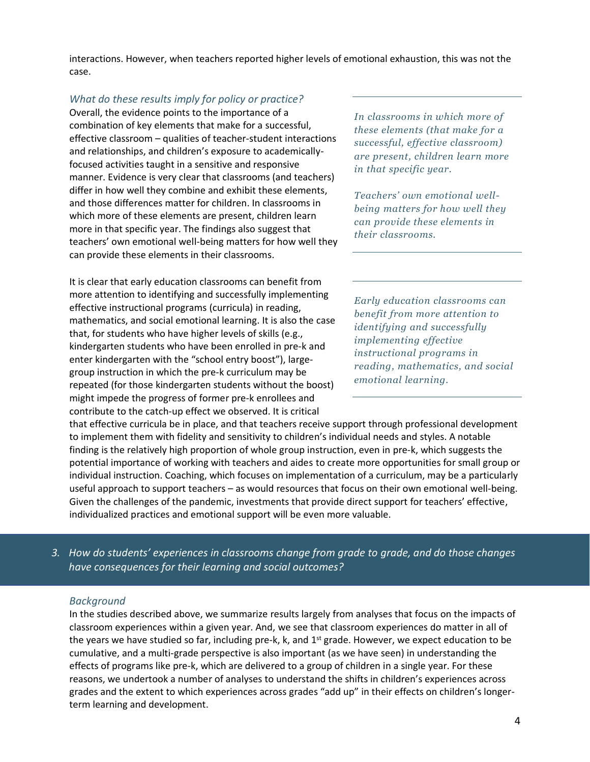interactions. However, when teachers reported higher levels of emotional exhaustion, this was not the case.

#### *What do these results imply for policy or practice?*

Overall, the evidence points to the importance of a combination of key elements that make for a successful, effective classroom – qualities of teacher-student interactions and relationships, and children's exposure to academicallyfocused activities taught in a sensitive and responsive manner. Evidence is very clear that classrooms (and teachers) differ in how well they combine and exhibit these elements, and those differences matter for children. In classrooms in which more of these elements are present, children learn more in that specific year. The findings also suggest that teachers' own emotional well-being matters for how well they can provide these elements in their classrooms.

It is clear that early education classrooms can benefit from more attention to identifying and successfully implementing effective instructional programs (curricula) in reading, mathematics, and social emotional learning. It is also the case that, for students who have higher levels of skills (e.g., kindergarten students who have been enrolled in pre-k and enter kindergarten with the "school entry boost"), largegroup instruction in which the pre-k curriculum may be repeated (for those kindergarten students without the boost) might impede the progress of former pre-k enrollees and contribute to the catch-up effect we observed. It is critical

*In classrooms in which more of these elements (that make for a successful, effective classroom) are present, children learn more in that specific year.*

*Teachers' own emotional wellbeing matters for how well they can provide these elements in their classrooms.*

*Early education classrooms can benefit from more attention to identifying and successfully implementing effective instructional programs in reading, mathematics, and social emotional learning.*

that effective curricula be in place, and that teachers receive support through professional development to implement them with fidelity and sensitivity to children's individual needs and styles. A notable finding is the relatively high proportion of whole group instruction, even in pre-k, which suggests the potential importance of working with teachers and aides to create more opportunities for small group or individual instruction. Coaching, which focuses on implementation of a curriculum, may be a particularly useful approach to support teachers – as would resources that focus on their own emotional well-being. Given the challenges of the pandemic, investments that provide direct support for teachers' effective, individualized practices and emotional support will be even more valuable.

*3. How do students' experiences in classrooms change from grade to grade, and do those changes have consequences for their learning and social outcomes?*

#### *Background*

In the studies described above, we summarize results largely from analyses that focus on the impacts of classroom experiences within a given year. And, we see that classroom experiences do matter in all of the years we have studied so far, including pre-k, k, and 1<sup>st</sup> grade. However, we expect education to be cumulative, and a multi-grade perspective is also important (as we have seen) in understanding the effects of programs like pre-k, which are delivered to a group of children in a single year. For these reasons, we undertook a number of analyses to understand the shifts in children's experiences across grades and the extent to which experiences across grades "add up" in their effects on children's longerterm learning and development.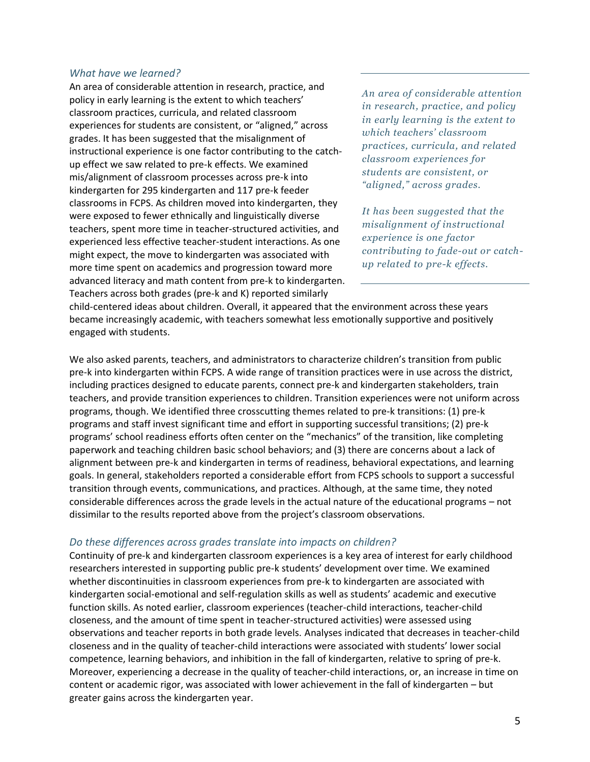#### *What have we learned?*

An area of considerable attention in research, practice, and policy in early learning is the extent to which teachers' classroom practices, curricula, and related classroom experiences for students are consistent, or "aligned," across grades. It has been suggested that the misalignment of instructional experience is one factor contributing to the catchup effect we saw related to pre-k effects. We examined mis/alignment of classroom processes across pre-k into kindergarten for 295 kindergarten and 117 pre-k feeder classrooms in FCPS. As children moved into kindergarten, they were exposed to fewer ethnically and linguistically diverse teachers, spent more time in teacher-structured activities, and experienced less effective teacher-student interactions. As one might expect, the move to kindergarten was associated with more time spent on academics and progression toward more advanced literacy and math content from pre-k to kindergarten. Teachers across both grades (pre-k and K) reported similarly

*An area of considerable attention in research, practice, and policy in early learning is the extent to which teachers' classroom practices, curricula, and related classroom experiences for students are consistent, or "aligned," across grades.* 

*It has been suggested that the misalignment of instructional experience is one factor contributing to fade-out or catchup related to pre-k effects.*

child-centered ideas about children. Overall, it appeared that the environment across these years became increasingly academic, with teachers somewhat less emotionally supportive and positively engaged with students.

We also asked parents, teachers, and administrators to characterize children's transition from public pre-k into kindergarten within FCPS. A wide range of transition practices were in use across the district, including practices designed to educate parents, connect pre-k and kindergarten stakeholders, train teachers, and provide transition experiences to children. Transition experiences were not uniform across programs, though. We identified three crosscutting themes related to pre-k transitions: (1) pre-k programs and staff invest significant time and effort in supporting successful transitions; (2) pre-k programs' school readiness efforts often center on the "mechanics" of the transition, like completing paperwork and teaching children basic school behaviors; and (3) there are concerns about a lack of alignment between pre-k and kindergarten in terms of readiness, behavioral expectations, and learning goals. In general, stakeholders reported a considerable effort from FCPS schools to support a successful transition through events, communications, and practices. Although, at the same time, they noted considerable differences across the grade levels in the actual nature of the educational programs – not dissimilar to the results reported above from the project's classroom observations.

#### *Do these differences across grades translate into impacts on children?*

Continuity of pre-k and kindergarten classroom experiences is a key area of interest for early childhood researchers interested in supporting public pre-k students' development over time. We examined whether discontinuities in classroom experiences from pre-k to kindergarten are associated with kindergarten social-emotional and self-regulation skills as well as students' academic and executive function skills. As noted earlier, classroom experiences (teacher-child interactions, teacher-child closeness, and the amount of time spent in teacher-structured activities) were assessed using observations and teacher reports in both grade levels. Analyses indicated that decreases in teacher-child closeness and in the quality of teacher-child interactions were associated with students' lower social competence, learning behaviors, and inhibition in the fall of kindergarten, relative to spring of pre-k. Moreover, experiencing a decrease in the quality of teacher-child interactions, or, an increase in time on content or academic rigor, was associated with lower achievement in the fall of kindergarten – but greater gains across the kindergarten year.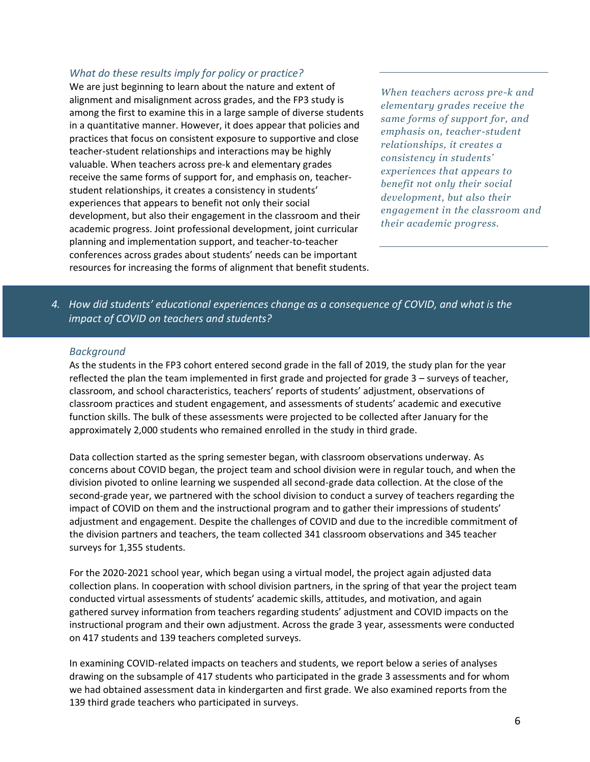#### *What do these results imply for policy or practice?*

We are just beginning to learn about the nature and extent of alignment and misalignment across grades, and the FP3 study is among the first to examine this in a large sample of diverse students in a quantitative manner. However, it does appear that policies and practices that focus on consistent exposure to supportive and close teacher-student relationships and interactions may be highly valuable. When teachers across pre-k and elementary grades receive the same forms of support for, and emphasis on, teacherstudent relationships, it creates a consistency in students' experiences that appears to benefit not only their social development, but also their engagement in the classroom and their academic progress. Joint professional development, joint curricular planning and implementation support, and teacher-to-teacher conferences across grades about students' needs can be important resources for increasing the forms of alignment that benefit students.

*When teachers across pre-k and elementary grades receive the same forms of support for, and emphasis on, teacher-student relationships, it creates a consistency in students' experiences that appears to benefit not only their social development, but also their engagement in the classroom and their academic progress.*

*4. How did students' educational experiences change as a consequence of COVID, and what is the impact of COVID on teachers and students?*

#### *Background*

As the students in the FP3 cohort entered second grade in the fall of 2019, the study plan for the year reflected the plan the team implemented in first grade and projected for grade 3 – surveys of teacher, classroom, and school characteristics, teachers' reports of students' adjustment, observations of classroom practices and student engagement, and assessments of students' academic and executive function skills. The bulk of these assessments were projected to be collected after January for the approximately 2,000 students who remained enrolled in the study in third grade.

Data collection started as the spring semester began, with classroom observations underway. As concerns about COVID began, the project team and school division were in regular touch, and when the division pivoted to online learning we suspended all second-grade data collection. At the close of the second-grade year, we partnered with the school division to conduct a survey of teachers regarding the impact of COVID on them and the instructional program and to gather their impressions of students' adjustment and engagement. Despite the challenges of COVID and due to the incredible commitment of the division partners and teachers, the team collected 341 classroom observations and 345 teacher surveys for 1,355 students.

For the 2020-2021 school year, which began using a virtual model, the project again adjusted data collection plans. In cooperation with school division partners, in the spring of that year the project team conducted virtual assessments of students' academic skills, attitudes, and motivation, and again gathered survey information from teachers regarding students' adjustment and COVID impacts on the instructional program and their own adjustment. Across the grade 3 year, assessments were conducted on 417 students and 139 teachers completed surveys.

In examining COVID-related impacts on teachers and students, we report below a series of analyses drawing on the subsample of 417 students who participated in the grade 3 assessments and for whom we had obtained assessment data in kindergarten and first grade. We also examined reports from the 139 third grade teachers who participated in surveys.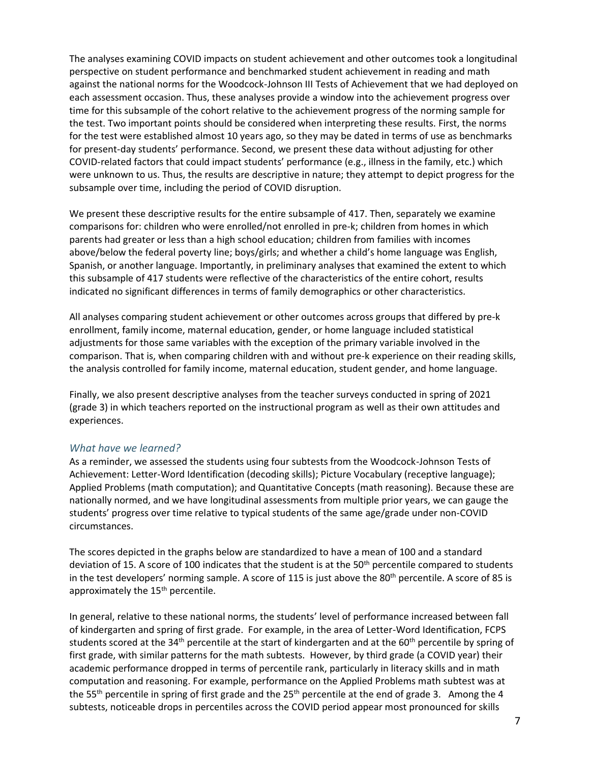The analyses examining COVID impacts on student achievement and other outcomes took a longitudinal perspective on student performance and benchmarked student achievement in reading and math against the national norms for the Woodcock-Johnson III Tests of Achievement that we had deployed on each assessment occasion. Thus, these analyses provide a window into the achievement progress over time for this subsample of the cohort relative to the achievement progress of the norming sample for the test. Two important points should be considered when interpreting these results. First, the norms for the test were established almost 10 years ago, so they may be dated in terms of use as benchmarks for present-day students' performance. Second, we present these data without adjusting for other COVID-related factors that could impact students' performance (e.g., illness in the family, etc.) which were unknown to us. Thus, the results are descriptive in nature; they attempt to depict progress for the subsample over time, including the period of COVID disruption.

We present these descriptive results for the entire subsample of 417. Then, separately we examine comparisons for: children who were enrolled/not enrolled in pre-k; children from homes in which parents had greater or less than a high school education; children from families with incomes above/below the federal poverty line; boys/girls; and whether a child's home language was English, Spanish, or another language. Importantly, in preliminary analyses that examined the extent to which this subsample of 417 students were reflective of the characteristics of the entire cohort, results indicated no significant differences in terms of family demographics or other characteristics.

All analyses comparing student achievement or other outcomes across groups that differed by pre-k enrollment, family income, maternal education, gender, or home language included statistical adjustments for those same variables with the exception of the primary variable involved in the comparison. That is, when comparing children with and without pre-k experience on their reading skills, the analysis controlled for family income, maternal education, student gender, and home language.

Finally, we also present descriptive analyses from the teacher surveys conducted in spring of 2021 (grade 3) in which teachers reported on the instructional program as well as their own attitudes and experiences.

#### *What have we learned?*

As a reminder, we assessed the students using four subtests from the Woodcock-Johnson Tests of Achievement: Letter-Word Identification (decoding skills); Picture Vocabulary (receptive language); Applied Problems (math computation); and Quantitative Concepts (math reasoning). Because these are nationally normed, and we have longitudinal assessments from multiple prior years, we can gauge the students' progress over time relative to typical students of the same age/grade under non-COVID circumstances.

The scores depicted in the graphs below are standardized to have a mean of 100 and a standard deviation of 15. A score of 100 indicates that the student is at the 50<sup>th</sup> percentile compared to students in the test developers' norming sample. A score of 115 is just above the  $80<sup>th</sup>$  percentile. A score of 85 is approximately the 15<sup>th</sup> percentile.

In general, relative to these national norms, the students' level of performance increased between fall of kindergarten and spring of first grade. For example, in the area of Letter-Word Identification, FCPS students scored at the 34<sup>th</sup> percentile at the start of kindergarten and at the 60<sup>th</sup> percentile by spring of first grade, with similar patterns for the math subtests. However, by third grade (a COVID year) their academic performance dropped in terms of percentile rank, particularly in literacy skills and in math computation and reasoning. For example, performance on the Applied Problems math subtest was at the 55<sup>th</sup> percentile in spring of first grade and the 25<sup>th</sup> percentile at the end of grade 3. Among the 4 subtests, noticeable drops in percentiles across the COVID period appear most pronounced for skills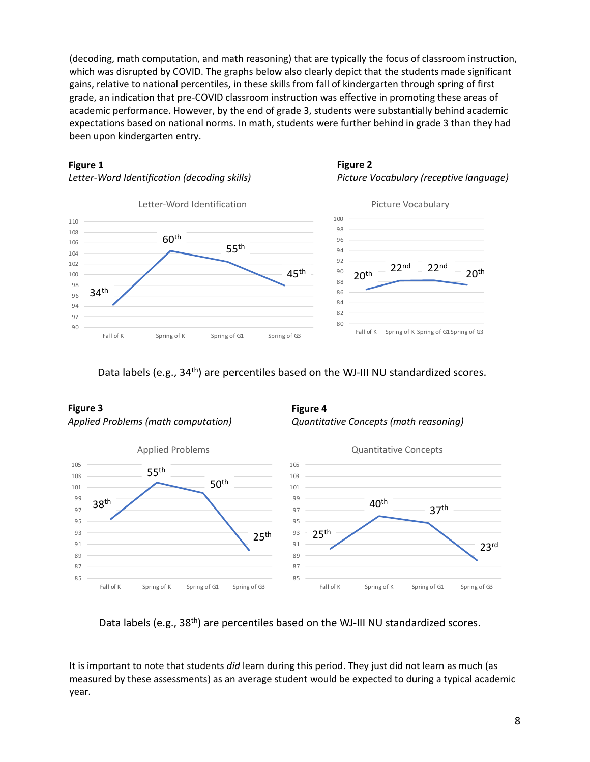(decoding, math computation, and math reasoning) that are typically the focus of classroom instruction, which was disrupted by COVID. The graphs below also clearly depict that the students made significant gains, relative to national percentiles, in these skills from fall of kindergarten through spring of first grade, an indication that pre-COVID classroom instruction was effective in promoting these areas of academic performance. However, by the end of grade 3, students were substantially behind academic expectations based on national norms. In math, students were further behind in grade 3 than they had been upon kindergarten entry.

#### **Figure 1**









#### Data labels (e.g., 34<sup>th</sup>) are percentiles based on the WJ-III NU standardized scores.

#### **Figure 3** *Applied Problems (math computation) Applied Problems (math computation) Quantitative Concepts (math reasoning)*

**Figure 4** *Quantitative Concepts (math reasoning)*



Data labels (e.g., 38<sup>th</sup>) are percentiles based on the WJ-III NU standardized scores.

It is important to note that students *did* learn during this period. They just did not learn as much (as measured by these assessments) as an average student would be expected to during a typical academic year.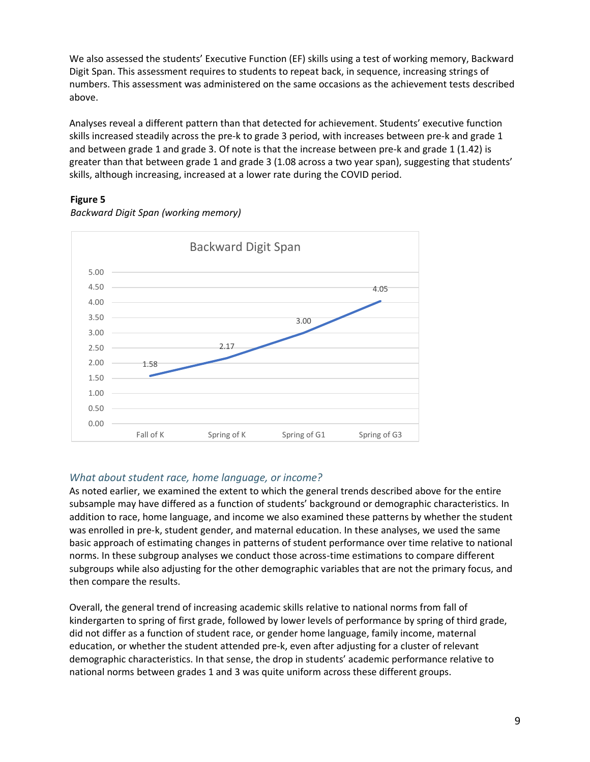We also assessed the students' Executive Function (EF) skills using a test of working memory, Backward Digit Span. This assessment requires to students to repeat back, in sequence, increasing strings of numbers. This assessment was administered on the same occasions as the achievement tests described above.

Analyses reveal a different pattern than that detected for achievement. Students' executive function skills increased steadily across the pre-k to grade 3 period, with increases between pre-k and grade 1 and between grade 1 and grade 3. Of note is that the increase between pre-k and grade 1 (1.42) is greater than that between grade 1 and grade 3 (1.08 across a two year span), suggesting that students' skills, although increasing, increased at a lower rate during the COVID period.

#### **Figure 5**



*Backward Digit Span (working memory)*

# *What about student race, home language, or income?*

As noted earlier, we examined the extent to which the general trends described above for the entire subsample may have differed as a function of students' background or demographic characteristics. In addition to race, home language, and income we also examined these patterns by whether the student was enrolled in pre-k, student gender, and maternal education. In these analyses, we used the same basic approach of estimating changes in patterns of student performance over time relative to national norms. In these subgroup analyses we conduct those across-time estimations to compare different subgroups while also adjusting for the other demographic variables that are not the primary focus, and then compare the results.

Overall, the general trend of increasing academic skills relative to national norms from fall of kindergarten to spring of first grade, followed by lower levels of performance by spring of third grade, did not differ as a function of student race, or gender home language, family income, maternal education, or whether the student attended pre-k, even after adjusting for a cluster of relevant demographic characteristics. In that sense, the drop in students' academic performance relative to national norms between grades 1 and 3 was quite uniform across these different groups.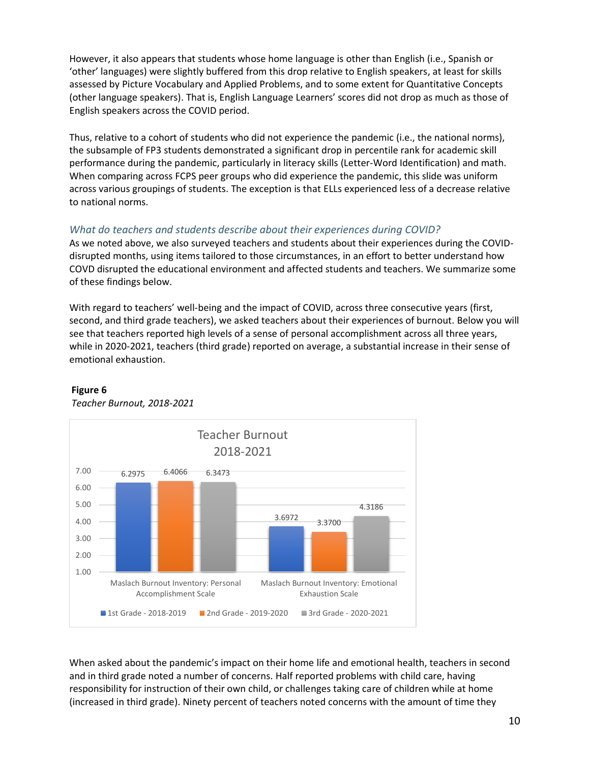However, it also appears that students whose home language is other than English (i.e., Spanish or 'other' languages) were slightly buffered from this drop relative to English speakers, at least for skills assessed by Picture Vocabulary and Applied Problems, and to some extent for Quantitative Concepts (other language speakers). That is, English Language Learners' scores did not drop as much as those of English speakers across the COVID period.

Thus, relative to a cohort of students who did not experience the pandemic (i.e., the national norms), the subsample of FP3 students demonstrated a significant drop in percentile rank for academic skill performance during the pandemic, particularly in literacy skills (Letter-Word Identification) and math. When comparing across FCPS peer groups who did experience the pandemic, this slide was uniform across various groupings of students. The exception is that ELLs experienced less of a decrease relative to national norms.

#### *What do teachers and students describe about their experiences during COVID?*

As we noted above, we also surveyed teachers and students about their experiences during the COVIDdisrupted months, using items tailored to those circumstances, in an effort to better understand how COVD disrupted the educational environment and affected students and teachers. We summarize some of these findings below.

With regard to teachers' well-being and the impact of COVID, across three consecutive years (first, second, and third grade teachers), we asked teachers about their experiences of burnout. Below you will see that teachers reported high levels of a sense of personal accomplishment across all three years, while in 2020-2021, teachers (third grade) reported on average, a substantial increase in their sense of emotional exhaustion.



# **Figure 6**

*Teacher Burnout, 2018-2021*

When asked about the pandemic's impact on their home life and emotional health, teachers in second and in third grade noted a number of concerns. Half reported problems with child care, having responsibility for instruction of their own child, or challenges taking care of children while at home (increased in third grade). Ninety percent of teachers noted concerns with the amount of time they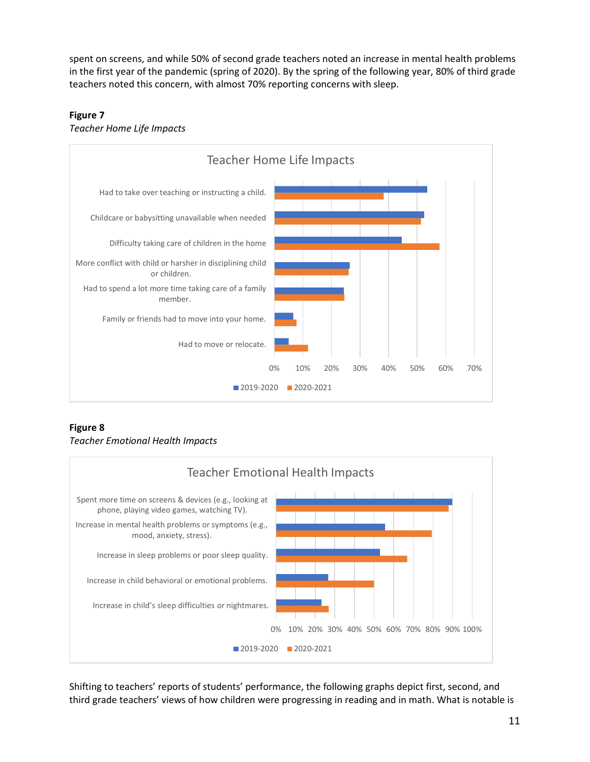spent on screens, and while 50% of second grade teachers noted an increase in mental health problems in the first year of the pandemic (spring of 2020). By the spring of the following year, 80% of third grade teachers noted this concern, with almost 70% reporting concerns with sleep.

# **Figure 7**



# **Figure 8** *Teacher Emotional Health Impacts*



Shifting to teachers' reports of students' performance, the following graphs depict first, second, and third grade teachers' views of how children were progressing in reading and in math. What is notable is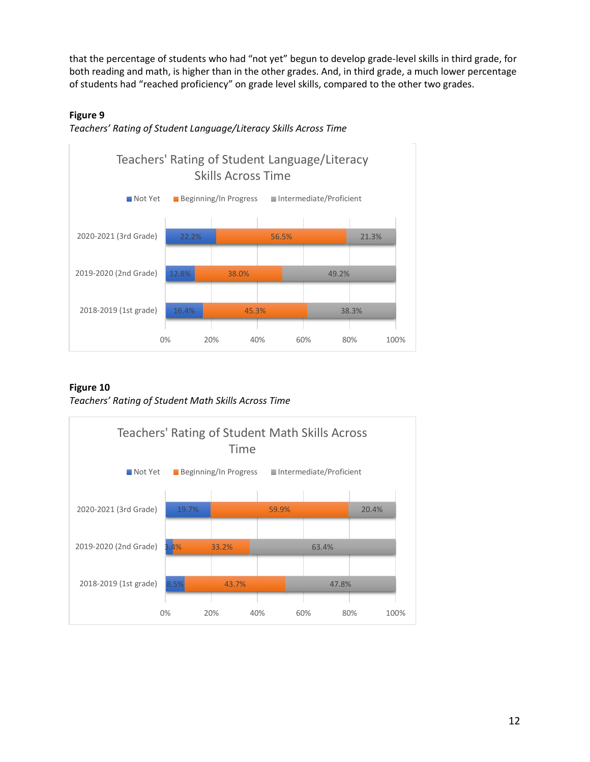that the percentage of students who had "not yet" begun to develop grade-level skills in third grade, for both reading and math, is higher than in the other grades. And, in third grade, a much lower percentage of students had "reached proficiency" on grade level skills, compared to the other two grades.

#### **Figure 9**





# **Figure 10**

*Teachers' Rating of Student Math Skills Across Time*

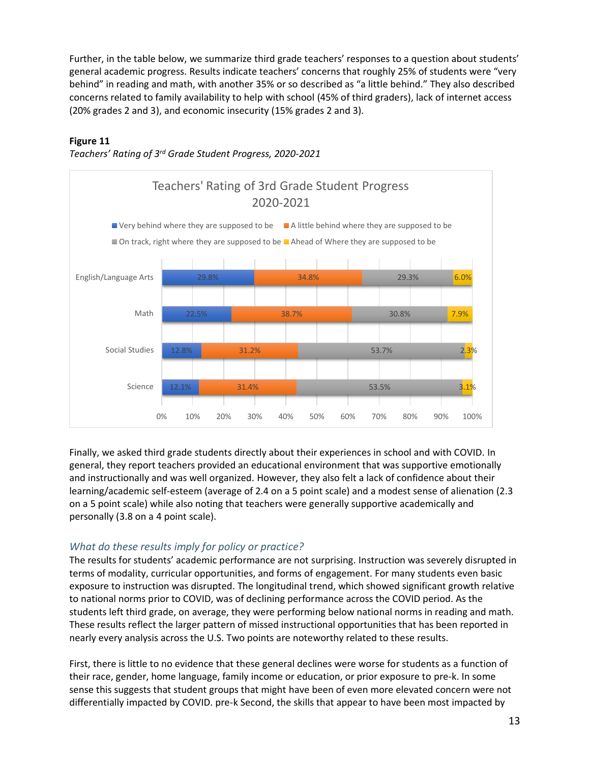Further, in the table below, we summarize third grade teachers' responses to a question about students' general academic progress. Results indicate teachers' concerns that roughly 25% of students were "very behind" in reading and math, with another 35% or so described as "a little behind." They also described concerns related to family availability to help with school (45% of third graders), lack of internet access (20% grades 2 and 3), and economic insecurity (15% grades 2 and 3).

#### **Figure 11**





Finally, we asked third grade students directly about their experiences in school and with COVID. In general, they report teachers provided an educational environment that was supportive emotionally and instructionally and was well organized. However, they also felt a lack of confidence about their learning/academic self-esteem (average of 2.4 on a 5 point scale) and a modest sense of alienation (2.3 on a 5 point scale) while also noting that teachers were generally supportive academically and personally (3.8 on a 4 point scale).

#### *What do these results imply for policy or practice?*

The results for students' academic performance are not surprising. Instruction was severely disrupted in terms of modality, curricular opportunities, and forms of engagement. For many students even basic exposure to instruction was disrupted. The longitudinal trend, which showed significant growth relative to national norms prior to COVID, was of declining performance across the COVID period. As the students left third grade, on average, they were performing below national norms in reading and math. These results reflect the larger pattern of missed instructional opportunities that has been reported in nearly every analysis across the U.S. Two points are noteworthy related to these results.

First, there is little to no evidence that these general declines were worse for students as a function of their race, gender, home language, family income or education, or prior exposure to pre-k. In some sense this suggests that student groups that might have been of even more elevated concern were not differentially impacted by COVID. pre-k Second, the skills that appear to have been most impacted by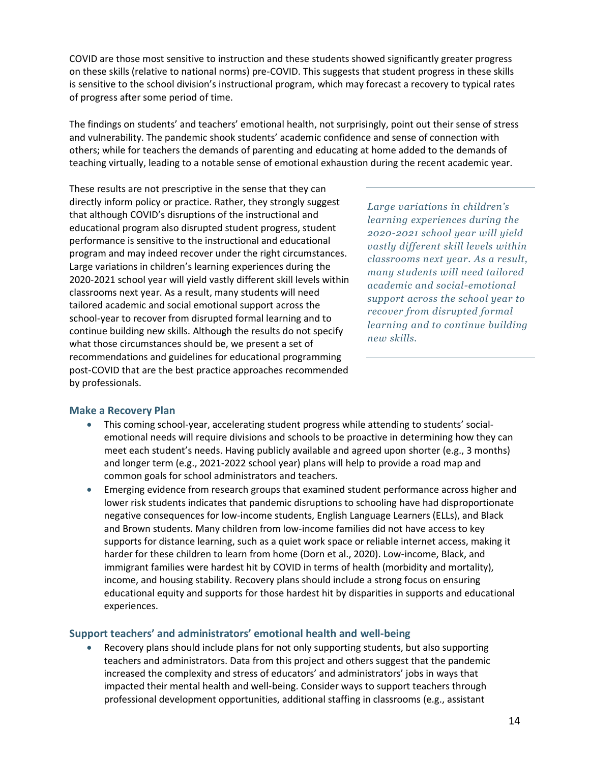COVID are those most sensitive to instruction and these students showed significantly greater progress on these skills (relative to national norms) pre-COVID. This suggests that student progress in these skills is sensitive to the school division's instructional program, which may forecast a recovery to typical rates of progress after some period of time.

The findings on students' and teachers' emotional health, not surprisingly, point out their sense of stress and vulnerability. The pandemic shook students' academic confidence and sense of connection with others; while for teachers the demands of parenting and educating at home added to the demands of teaching virtually, leading to a notable sense of emotional exhaustion during the recent academic year.

These results are not prescriptive in the sense that they can directly inform policy or practice. Rather, they strongly suggest that although COVID's disruptions of the instructional and educational program also disrupted student progress, student performance is sensitive to the instructional and educational program and may indeed recover under the right circumstances. Large variations in children's learning experiences during the 2020-2021 school year will yield vastly different skill levels within classrooms next year. As a result, many students will need tailored academic and social emotional support across the school-year to recover from disrupted formal learning and to continue building new skills. Although the results do not specify what those circumstances should be, we present a set of recommendations and guidelines for educational programming post-COVID that are the best practice approaches recommended by professionals.

*Large variations in children's learning experiences during the 2020-2021 school year will yield vastly different skill levels within classrooms next year. As a result, many students will need tailored academic and social-emotional support across the school year to recover from disrupted formal learning and to continue building new skills.*

#### **Make a Recovery Plan**

- This coming school-year, accelerating student progress while attending to students' socialemotional needs will require divisions and schools to be proactive in determining how they can meet each student's needs. Having publicly available and agreed upon shorter (e.g., 3 months) and longer term (e.g., 2021-2022 school year) plans will help to provide a road map and common goals for school administrators and teachers.
- Emerging evidence from research groups that examined student performance across higher and lower risk students indicates that pandemic disruptions to schooling have had disproportionate negative consequences for low-income students, English Language Learners (ELLs), and Black and Brown students. Many children from low-income families did not have access to key supports for distance learning, such as a quiet work space or reliable internet access, making it harder for these children to learn from home (Dorn et al., 2020). Low-income, Black, and immigrant families were hardest hit by COVID in terms of health (morbidity and mortality), income, and housing stability. Recovery plans should include a strong focus on ensuring educational equity and supports for those hardest hit by disparities in supports and educational experiences.

#### **Support teachers' and administrators' emotional health and well-being**

• Recovery plans should include plans for not only supporting students, but also supporting teachers and administrators. Data from this project and others suggest that the pandemic increased the complexity and stress of educators' and administrators' jobs in ways that impacted their mental health and well-being. Consider ways to support teachers through professional development opportunities, additional staffing in classrooms (e.g., assistant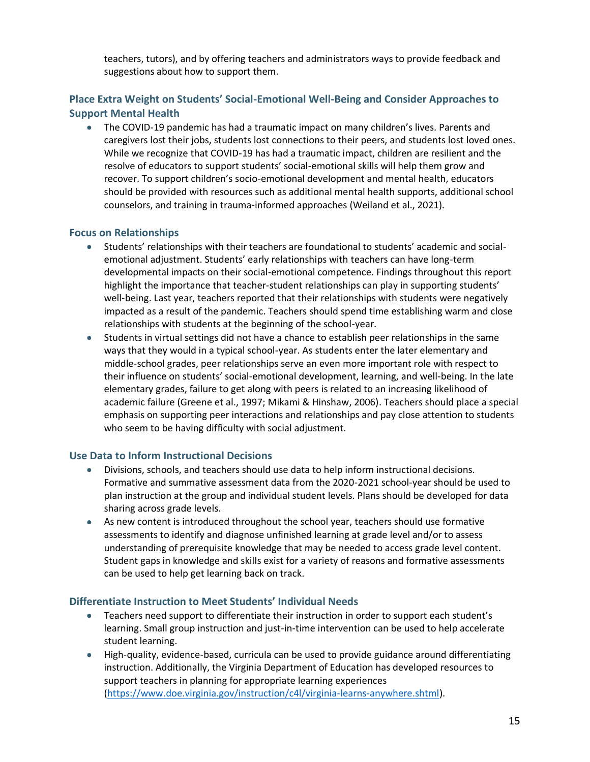teachers, tutors), and by offering teachers and administrators ways to provide feedback and suggestions about how to support them.

# **Place Extra Weight on Students' Social-Emotional Well-Being and Consider Approaches to Support Mental Health**

• The COVID-19 pandemic has had a traumatic impact on many children's lives. Parents and caregivers lost their jobs, students lost connections to their peers, and students lost loved ones. While we recognize that COVID-19 has had a traumatic impact, children are resilient and the resolve of educators to support students' social-emotional skills will help them grow and recover. To support children's socio-emotional development and mental health, educators should be provided with resources such as additional mental health supports, additional school counselors, and training in trauma-informed approaches (Weiland et al., 2021).

#### **Focus on Relationships**

- Students' relationships with their teachers are foundational to students' academic and socialemotional adjustment. Students' early relationships with teachers can have long-term developmental impacts on their social-emotional competence. Findings throughout this report highlight the importance that teacher-student relationships can play in supporting students' well-being. Last year, teachers reported that their relationships with students were negatively impacted as a result of the pandemic. Teachers should spend time establishing warm and close relationships with students at the beginning of the school-year.
- Students in virtual settings did not have a chance to establish peer relationships in the same ways that they would in a typical school-year. As students enter the later elementary and middle-school grades, peer relationships serve an even more important role with respect to their influence on students' social-emotional development, learning, and well-being. In the late elementary grades, failure to get along with peers is related to an increasing likelihood of academic failure (Greene et al., 1997; Mikami & Hinshaw, 2006). Teachers should place a special emphasis on supporting peer interactions and relationships and pay close attention to students who seem to be having difficulty with social adjustment.

#### **Use Data to Inform Instructional Decisions**

- Divisions, schools, and teachers should use data to help inform instructional decisions. Formative and summative assessment data from the 2020-2021 school-year should be used to plan instruction at the group and individual student levels. Plans should be developed for data sharing across grade levels.
- As new content is introduced throughout the school year, teachers should use formative assessments to identify and diagnose unfinished learning at grade level and/or to assess understanding of prerequisite knowledge that may be needed to access grade level content. Student gaps in knowledge and skills exist for a variety of reasons and formative assessments can be used to help get learning back on track.

#### **Differentiate Instruction to Meet Students' Individual Needs**

- Teachers need support to differentiate their instruction in order to support each student's learning. Small group instruction and just-in-time intervention can be used to help accelerate student learning.
- High-quality, evidence-based, curricula can be used to provide guidance around differentiating instruction. Additionally, the Virginia Department of Education has developed resources to support teachers in planning for appropriate learning experiences [\(https://www.doe.virginia.gov/instruction/c4l/virginia-learns-anywhere.shtml\)](https://www.doe.virginia.gov/instruction/c4l/virginia-learns-anywhere.shtml).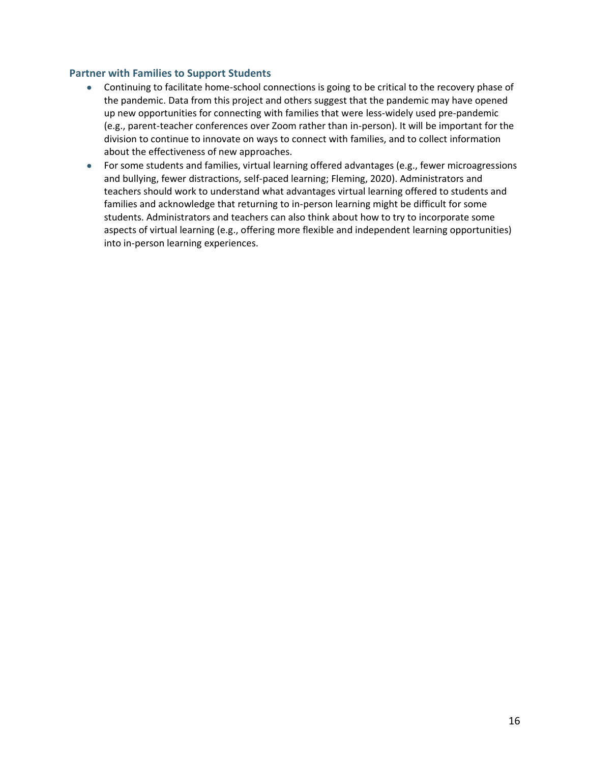#### **Partner with Families to Support Students**

- Continuing to facilitate home-school connections is going to be critical to the recovery phase of the pandemic. Data from this project and others suggest that the pandemic may have opened up new opportunities for connecting with families that were less-widely used pre-pandemic (e.g., parent-teacher conferences over Zoom rather than in-person). It will be important for the division to continue to innovate on ways to connect with families, and to collect information about the effectiveness of new approaches.
- For some students and families, virtual learning offered advantages (e.g., fewer microagressions and bullying, fewer distractions, self-paced learning; Fleming, 2020). Administrators and teachers should work to understand what advantages virtual learning offered to students and families and acknowledge that returning to in-person learning might be difficult for some students. Administrators and teachers can also think about how to try to incorporate some aspects of virtual learning (e.g., offering more flexible and independent learning opportunities) into in-person learning experiences.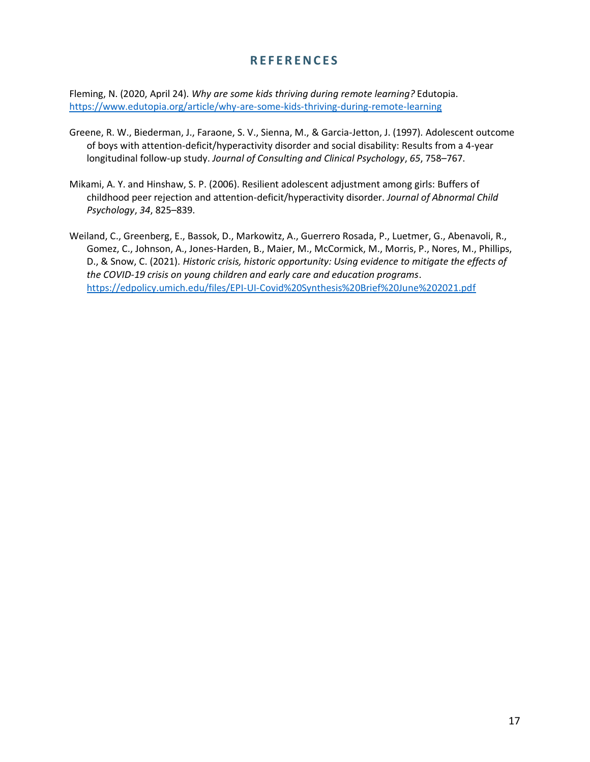# **R E F E R E N C E S**

Fleming, N. (2020, April 24). *Why are some kids thriving during remote learning?* Edutopia. <https://www.edutopia.org/article/why-are-some-kids-thriving-during-remote-learning>

- Greene, R. W., Biederman, J., Faraone, S. V., Sienna, M., & Garcia-Jetton, J. (1997). Adolescent outcome of boys with attention-deficit/hyperactivity disorder and social disability: Results from a 4-year longitudinal follow-up study. *Journal of Consulting and Clinical Psychology*, *65*, 758–767.
- Mikami, A. Y. and Hinshaw, S. P. (2006). Resilient adolescent adjustment among girls: Buffers of childhood peer rejection and attention-deficit/hyperactivity disorder. *Journal of Abnormal Child Psychology*, *34*, 825–839.
- Weiland, C., Greenberg, E., Bassok, D., Markowitz, A., Guerrero Rosada, P., Luetmer, G., Abenavoli, R., Gomez, C., Johnson, A., Jones-Harden, B., Maier, M., McCormick, M., Morris, P., Nores, M., Phillips, D., & Snow, C. (2021). *Historic crisis, historic opportunity: Using evidence to mitigate the effects of the COVID-19 crisis on young children and early care and education programs*. <https://edpolicy.umich.edu/files/EPI-UI-Covid%20Synthesis%20Brief%20June%202021.pdf>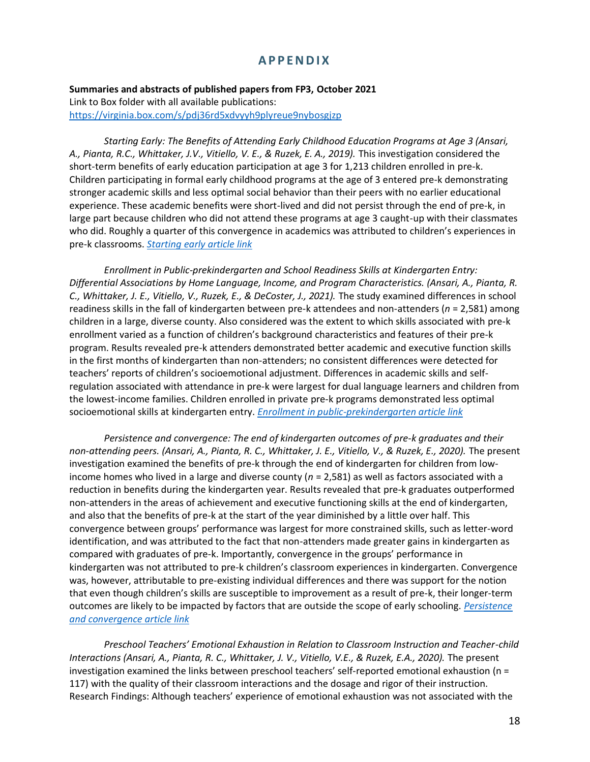### **A P P E N D I X**

**Summaries and abstracts of published papers from FP3, October 2021** Link to Box folder with all available publications: <https://virginia.box.com/s/pdj36rd5xdvyyh9plyreue9nybosgjzp>

*Starting Early: The Benefits of Attending Early Childhood Education Programs at Age 3 (Ansari, A., Pianta, R.C., Whittaker, J.V., Vitiello, V. E., & Ruzek, E. A., 2019).* This investigation considered the short-term benefits of early education participation at age 3 for 1,213 children enrolled in pre-k. Children participating in formal early childhood programs at the age of 3 entered pre-k demonstrating stronger academic skills and less optimal social behavior than their peers with no earlier educational experience. These academic benefits were short-lived and did not persist through the end of pre-k, in large part because children who did not attend these programs at age 3 caught-up with their classmates who did. Roughly a quarter of this convergence in academics was attributed to children's experiences in pre-k classrooms. *[Starting early article link](https://virginia.box.com/s/gq1ns4pv4j7xn92ypjanp0lrqr5ddeg0)*

*Enrollment in Public-prekindergarten and School Readiness Skills at Kindergarten Entry: Differential Associations by Home Language, Income, and Program Characteristics. (Ansari, A., Pianta, R. C., Whittaker, J. E., Vitiello, V., Ruzek, E., & DeCoster, J., 2021).* The study examined differences in school readiness skills in the fall of kindergarten between pre-k attendees and non-attenders (*n* = 2,581) among children in a large, diverse county. Also considered was the extent to which skills associated with pre-k enrollment varied as a function of children's background characteristics and features of their pre-k program. Results revealed pre-k attenders demonstrated better academic and executive function skills in the first months of kindergarten than non-attenders; no consistent differences were detected for teachers' reports of children's socioemotional adjustment. Differences in academic skills and selfregulation associated with attendance in pre-k were largest for dual language learners and children from the lowest-income families. Children enrolled in private pre-k programs demonstrated less optimal socioemotional skills at kindergarten entry. *[Enrollment in public-prekindergarten article link](https://virginia.box.com/s/ino6z36q1av367dh7fhttdkilfiry334)*

*Persistence and convergence: The end of kindergarten outcomes of pre-k graduates and their non-attending peers. (Ansari, A., Pianta, R. C., Whittaker, J. E., Vitiello, V., & Ruzek, E., 2020).* The present investigation examined the benefits of pre-k through the end of kindergarten for children from lowincome homes who lived in a large and diverse county (*n* = 2,581) as well as factors associated with a reduction in benefits during the kindergarten year. Results revealed that pre-k graduates outperformed non-attenders in the areas of achievement and executive functioning skills at the end of kindergarten, and also that the benefits of pre-k at the start of the year diminished by a little over half. This convergence between groups' performance was largest for more constrained skills, such as letter-word identification, and was attributed to the fact that non-attenders made greater gains in kindergarten as compared with graduates of pre-k. Importantly, convergence in the groups' performance in kindergarten was not attributed to pre-k children's classroom experiences in kindergarten. Convergence was, however, attributable to pre-existing individual differences and there was support for the notion that even though children's skills are susceptible to improvement as a result of pre-k, their longer-term outcomes are likely to be impacted by factors that are outside the scope of early schooling. *[Persistence](https://virginia.box.com/s/ywr8m14un21t6q2whwuhobw8i5pxdj83)  [and convergence article link](https://virginia.box.com/s/ywr8m14un21t6q2whwuhobw8i5pxdj83)*

*Preschool Teachers' Emotional Exhaustion in Relation to Classroom Instruction and Teacher-child Interactions (Ansari, A., Pianta, R. C., Whittaker, J. V., Vitiello, V.E., & Ruzek, E.A., 2020).* The present investigation examined the links between preschool teachers' self-reported emotional exhaustion (n = 117) with the quality of their classroom interactions and the dosage and rigor of their instruction. Research Findings: Although teachers' experience of emotional exhaustion was not associated with the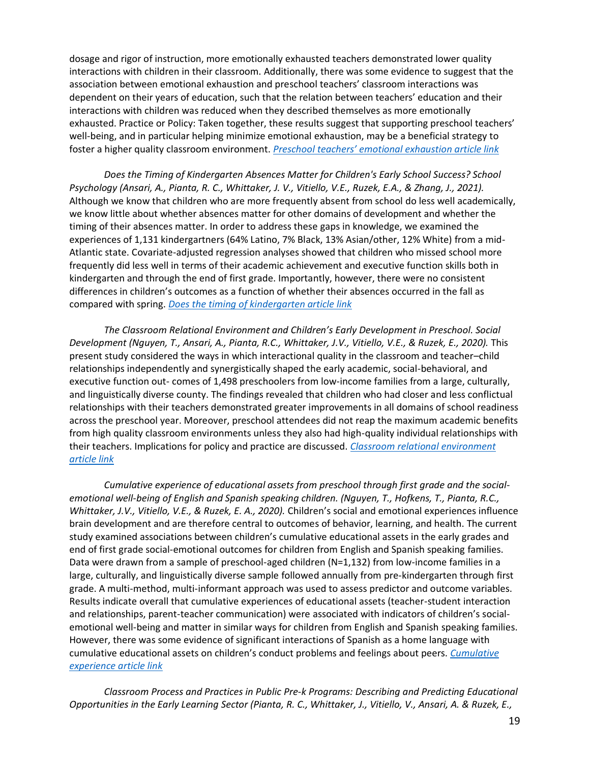dosage and rigor of instruction, more emotionally exhausted teachers demonstrated lower quality interactions with children in their classroom. Additionally, there was some evidence to suggest that the association between emotional exhaustion and preschool teachers' classroom interactions was dependent on their years of education, such that the relation between teachers' education and their interactions with children was reduced when they described themselves as more emotionally exhausted. Practice or Policy: Taken together, these results suggest that supporting preschool teachers' well-being, and in particular helping minimize emotional exhaustion, may be a beneficial strategy to foster a higher quality classroom environment. *[Preschool teachers' emotional exhaustion article link](https://virginia.box.com/s/l4he4tt1x5mbxdj8nn3fqoed3mzihklv)*

*Does the Timing of Kindergarten Absences Matter for Children's Early School Success? School Psychology (Ansari, A., Pianta, R. C., Whittaker, J. V., Vitiello, V.E., Ruzek, E.A., & Zhang, J., 2021).*  Although we know that children who are more frequently absent from school do less well academically, we know little about whether absences matter for other domains of development and whether the timing of their absences matter. In order to address these gaps in knowledge, we examined the experiences of 1,131 kindergartners (64% Latino, 7% Black, 13% Asian/other, 12% White) from a mid-Atlantic state. Covariate-adjusted regression analyses showed that children who missed school more frequently did less well in terms of their academic achievement and executive function skills both in kindergarten and through the end of first grade. Importantly, however, there were no consistent differences in children's outcomes as a function of whether their absences occurred in the fall as compared with spring. *[Does the timing of kindergarten article link](https://virginia.box.com/s/45swm6d3whjkoep1xixd89y2a4csrdy4)*

*The Classroom Relational Environment and Children's Early Development in Preschool. Social Development (Nguyen, T., Ansari, A., Pianta, R.C., Whittaker, J.V., Vitiello, V.E., & Ruzek, E., 2020).* This present study considered the ways in which interactional quality in the classroom and teacher–child relationships independently and synergistically shaped the early academic, social-behavioral, and executive function out- comes of 1,498 preschoolers from low-income families from a large, culturally, and linguistically diverse county. The findings revealed that children who had closer and less conflictual relationships with their teachers demonstrated greater improvements in all domains of school readiness across the preschool year. Moreover, preschool attendees did not reap the maximum academic benefits from high quality classroom environments unless they also had high-quality individual relationships with their teachers. Implications for policy and practice are discussed. *[Classroom relational environment](https://virginia.box.com/s/2bh0t0zusygzzccyuuabjczmn4wnp7qo)  [article link](https://virginia.box.com/s/2bh0t0zusygzzccyuuabjczmn4wnp7qo)*

*Cumulative experience of educational assets from preschool through first grade and the socialemotional well-being of English and Spanish speaking children. (Nguyen, T., Hofkens, T., Pianta, R.C., Whittaker, J.V., Vitiello, V.E., & Ruzek, E. A., 2020).* Children's social and emotional experiences influence brain development and are therefore central to outcomes of behavior, learning, and health. The current study examined associations between children's cumulative educational assets in the early grades and end of first grade social-emotional outcomes for children from English and Spanish speaking families. Data were drawn from a sample of preschool-aged children (N=1,132) from low-income families in a large, culturally, and linguistically diverse sample followed annually from pre-kindergarten through first grade. A multi-method, multi-informant approach was used to assess predictor and outcome variables. Results indicate overall that cumulative experiences of educational assets (teacher-student interaction and relationships, parent-teacher communication) were associated with indicators of children's socialemotional well-being and matter in similar ways for children from English and Spanish speaking families. However, there was some evidence of significant interactions of Spanish as a home language with cumulative educational assets on children's conduct problems and feelings about peers. *[Cumulative](https://virginia.box.com/s/lzhbjxljumv7p0gv88omkemvu6zkyln0)  [experience article link](https://virginia.box.com/s/lzhbjxljumv7p0gv88omkemvu6zkyln0)*

*Classroom Process and Practices in Public Pre-k Programs: Describing and Predicting Educational Opportunities in the Early Learning Sector (Pianta, R. C., Whittaker, J., Vitiello, V., Ansari, A. & Ruzek, E.,*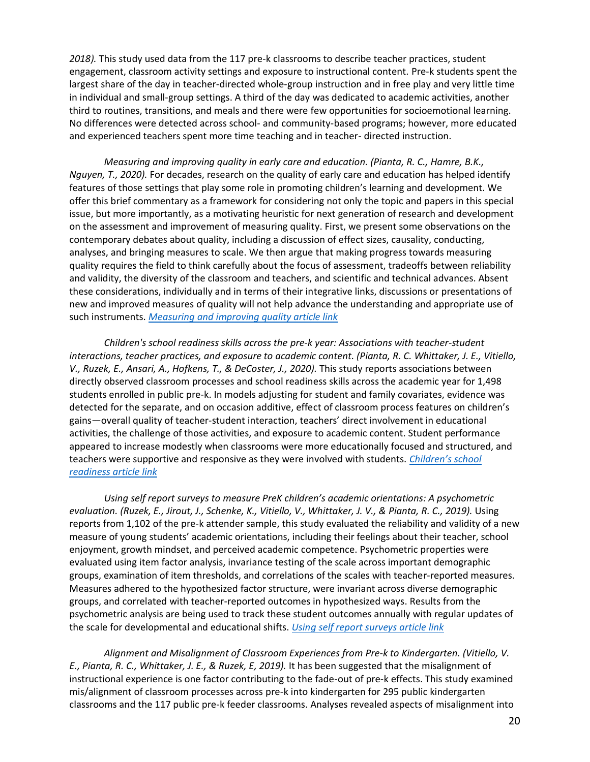*2018).* This study used data from the 117 pre-k classrooms to describe teacher practices, student engagement, classroom activity settings and exposure to instructional content. Pre-k students spent the largest share of the day in teacher-directed whole-group instruction and in free play and very little time in individual and small-group settings. A third of the day was dedicated to academic activities, another third to routines, transitions, and meals and there were few opportunities for socioemotional learning. No differences were detected across school- and community-based programs; however, more educated and experienced teachers spent more time teaching and in teacher- directed instruction.

*Measuring and improving quality in early care and education. (Pianta, R. C., Hamre, B.K., Nguyen, T., 2020).* For decades, research on the quality of early care and education has helped identify features of those settings that play some role in promoting children's learning and development. We offer this brief commentary as a framework for considering not only the topic and papers in this special issue, but more importantly, as a motivating heuristic for next generation of research and development on the assessment and improvement of measuring quality. First, we present some observations on the contemporary debates about quality, including a discussion of effect sizes, causality, conducting, analyses, and bringing measures to scale. We then argue that making progress towards measuring quality requires the field to think carefully about the focus of assessment, tradeoffs between reliability and validity, the diversity of the classroom and teachers, and scientific and technical advances. Absent these considerations, individually and in terms of their integrative links, discussions or presentations of new and improved measures of quality will not help advance the understanding and appropriate use of such instruments. *[Measuring and improving quality article link](https://virginia.box.com/s/oore751gkvamgmtfs7e5hs3msbeww1oi)*

*Children's school readiness skills across the pre-k year: Associations with teacher-student interactions, teacher practices, and exposure to academic content. (Pianta, R. C. Whittaker, J. E., Vitiello, V., Ruzek, E., Ansari, A., Hofkens, T., & DeCoster, J., 2020).* This study reports associations between directly observed classroom processes and school readiness skills across the academic year for 1,498 students enrolled in public pre-k. In models adjusting for student and family covariates, evidence was detected for the separate, and on occasion additive, effect of classroom process features on children's gains—overall quality of teacher-student interaction, teachers' direct involvement in educational activities, the challenge of those activities, and exposure to academic content. Student performance appeared to increase modestly when classrooms were more educationally focused and structured, and teachers were supportive and responsive as they were involved with students. *[Children's school](https://virginia.box.com/s/bo1uxnauc4bfa5a9we8460pgob5t7c3o)  [readiness article link](https://virginia.box.com/s/bo1uxnauc4bfa5a9we8460pgob5t7c3o)*

*Using self report surveys to measure PreK children's academic orientations: A psychometric evaluation. (Ruzek, E., Jirout, J., Schenke, K., Vitiello, V., Whittaker, J. V., & Pianta, R. C., 2019).* Using reports from 1,102 of the pre-k attender sample, this study evaluated the reliability and validity of a new measure of young students' academic orientations, including their feelings about their teacher, school enjoyment, growth mindset, and perceived academic competence. Psychometric properties were evaluated using item factor analysis, invariance testing of the scale across important demographic groups, examination of item thresholds, and correlations of the scales with teacher-reported measures. Measures adhered to the hypothesized factor structure, were invariant across diverse demographic groups, and correlated with teacher-reported outcomes in hypothesized ways. Results from the psychometric analysis are being used to track these student outcomes annually with regular updates of the scale for developmental and educational shifts. *[Using self report surveys article link](https://virginia.box.com/s/bldsz9qjrwzo6ut4wcnlwwzi5nam9j3w)*

*Alignment and Misalignment of Classroom Experiences from Pre-k to Kindergarten. (Vitiello, V. E., Pianta, R. C., Whittaker, J. E., & Ruzek, E, 2019).* It has been suggested that the misalignment of instructional experience is one factor contributing to the fade-out of pre-k effects. This study examined mis/alignment of classroom processes across pre-k into kindergarten for 295 public kindergarten classrooms and the 117 public pre-k feeder classrooms. Analyses revealed aspects of misalignment into